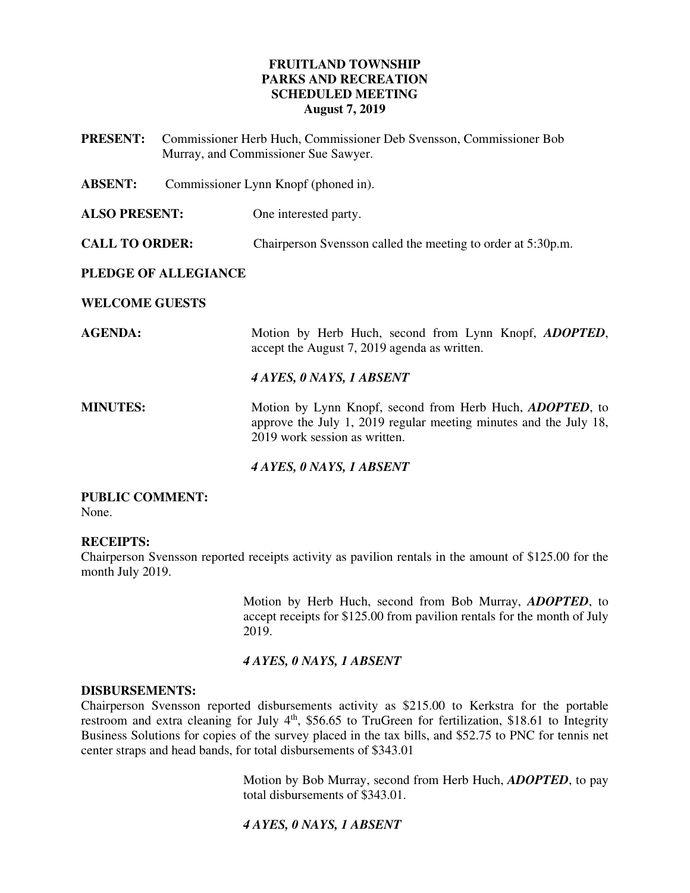# **FRUITLAND TOWNSHIP PARKS AND RECREATION SCHEDULED MEETING August 7, 2019**

**PRESENT:** Commissioner Herb Huch, Commissioner Deb Svensson, Commissioner Bob Murray, and Commissioner Sue Sawyer.

**ABSENT:** Commissioner Lynn Knopf (phoned in).

**ALSO PRESENT:** One interested party.

**CALL TO ORDER:** Chairperson Svensson called the meeting to order at 5:30p.m.

### **PLEDGE OF ALLEGIANCE**

**WELCOME GUESTS** 

**AGENDA:** Motion by Herb Huch, second from Lynn Knopf, *ADOPTED*, accept the August 7, 2019 agenda as written.

#### *4 AYES, 0 NAYS, 1 ABSENT*

**MINUTES:** Motion by Lynn Knopf, second from Herb Huch, *ADOPTED*, to approve the July 1, 2019 regular meeting minutes and the July 18, 2019 work session as written.

#### *4 AYES, 0 NAYS, 1 ABSENT*

#### **PUBLIC COMMENT:**  None.

#### **RECEIPTS:**

Chairperson Svensson reported receipts activity as pavilion rentals in the amount of \$125.00 for the month July 2019.

> Motion by Herb Huch, second from Bob Murray, *ADOPTED*, to accept receipts for \$125.00 from pavilion rentals for the month of July 2019.

#### *4 AYES, 0 NAYS, 1 ABSENT*

#### **DISBURSEMENTS:**

Chairperson Svensson reported disbursements activity as \$215.00 to Kerkstra for the portable restroom and extra cleaning for July  $4<sup>th</sup>$ , \$56.65 to TruGreen for fertilization, \$18.61 to Integrity Business Solutions for copies of the survey placed in the tax bills, and \$52.75 to PNC for tennis net center straps and head bands, for total disbursements of \$343.01

> Motion by Bob Murray, second from Herb Huch, *ADOPTED*, to pay total disbursements of \$343.01.

#### *4 AYES, 0 NAYS, 1 ABSENT*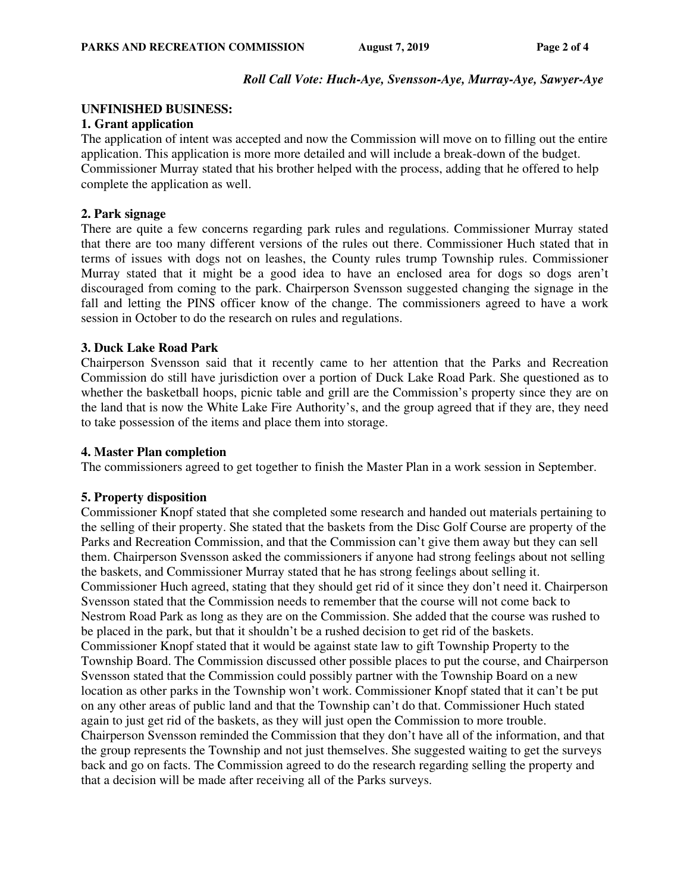#### *Roll Call Vote: Huch-Aye, Svensson-Aye, Murray-Aye, Sawyer-Aye*

#### **UNFINISHED BUSINESS:**

### **1. Grant application**

The application of intent was accepted and now the Commission will move on to filling out the entire application. This application is more more detailed and will include a break-down of the budget. Commissioner Murray stated that his brother helped with the process, adding that he offered to help complete the application as well.

### **2. Park signage**

There are quite a few concerns regarding park rules and regulations. Commissioner Murray stated that there are too many different versions of the rules out there. Commissioner Huch stated that in terms of issues with dogs not on leashes, the County rules trump Township rules. Commissioner Murray stated that it might be a good idea to have an enclosed area for dogs so dogs aren't discouraged from coming to the park. Chairperson Svensson suggested changing the signage in the fall and letting the PINS officer know of the change. The commissioners agreed to have a work session in October to do the research on rules and regulations.

### **3. Duck Lake Road Park**

Chairperson Svensson said that it recently came to her attention that the Parks and Recreation Commission do still have jurisdiction over a portion of Duck Lake Road Park. She questioned as to whether the basketball hoops, picnic table and grill are the Commission's property since they are on the land that is now the White Lake Fire Authority's, and the group agreed that if they are, they need to take possession of the items and place them into storage.

#### **4. Master Plan completion**

The commissioners agreed to get together to finish the Master Plan in a work session in September.

#### **5. Property disposition**

Commissioner Knopf stated that she completed some research and handed out materials pertaining to the selling of their property. She stated that the baskets from the Disc Golf Course are property of the Parks and Recreation Commission, and that the Commission can't give them away but they can sell them. Chairperson Svensson asked the commissioners if anyone had strong feelings about not selling the baskets, and Commissioner Murray stated that he has strong feelings about selling it. Commissioner Huch agreed, stating that they should get rid of it since they don't need it. Chairperson Svensson stated that the Commission needs to remember that the course will not come back to Nestrom Road Park as long as they are on the Commission. She added that the course was rushed to be placed in the park, but that it shouldn't be a rushed decision to get rid of the baskets. Commissioner Knopf stated that it would be against state law to gift Township Property to the Township Board. The Commission discussed other possible places to put the course, and Chairperson Svensson stated that the Commission could possibly partner with the Township Board on a new location as other parks in the Township won't work. Commissioner Knopf stated that it can't be put on any other areas of public land and that the Township can't do that. Commissioner Huch stated again to just get rid of the baskets, as they will just open the Commission to more trouble. Chairperson Svensson reminded the Commission that they don't have all of the information, and that the group represents the Township and not just themselves. She suggested waiting to get the surveys back and go on facts. The Commission agreed to do the research regarding selling the property and that a decision will be made after receiving all of the Parks surveys.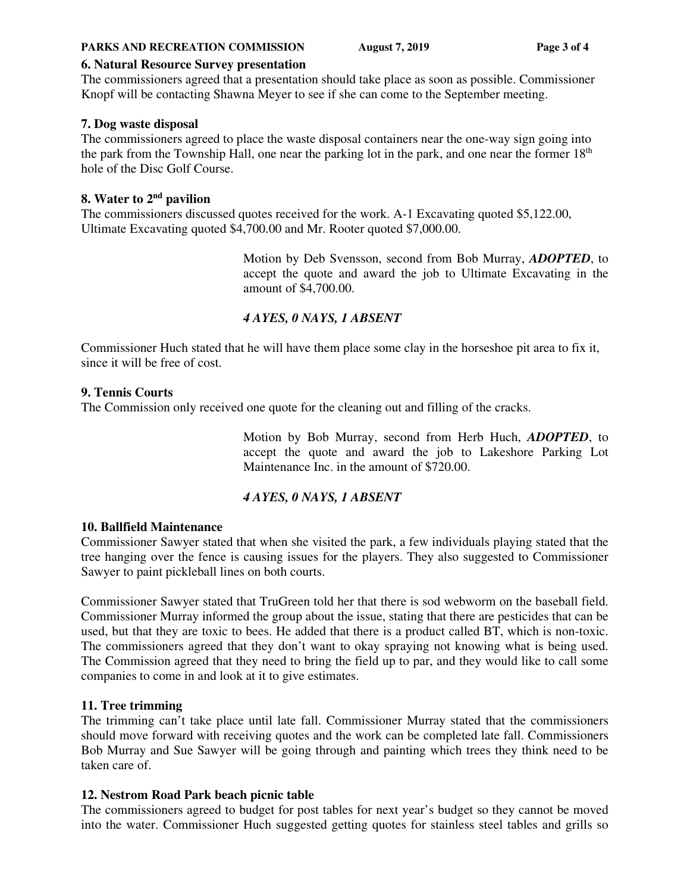#### **PARKS AND RECREATION COMMISSION** August 7, 2019 **Page 3 of 4**

### **6. Natural Resource Survey presentation**

The commissioners agreed that a presentation should take place as soon as possible. Commissioner Knopf will be contacting Shawna Meyer to see if she can come to the September meeting.

### **7. Dog waste disposal**

The commissioners agreed to place the waste disposal containers near the one-way sign going into the park from the Township Hall, one near the parking lot in the park, and one near the former  $18<sup>th</sup>$ hole of the Disc Golf Course.

### **8. Water to 2nd pavilion**

The commissioners discussed quotes received for the work. A-1 Excavating quoted \$5,122.00, Ultimate Excavating quoted \$4,700.00 and Mr. Rooter quoted \$7,000.00.

> Motion by Deb Svensson, second from Bob Murray, *ADOPTED*, to accept the quote and award the job to Ultimate Excavating in the amount of \$4,700.00.

# *4 AYES, 0 NAYS, 1 ABSENT*

Commissioner Huch stated that he will have them place some clay in the horseshoe pit area to fix it, since it will be free of cost.

### **9. Tennis Courts**

The Commission only received one quote for the cleaning out and filling of the cracks.

Motion by Bob Murray, second from Herb Huch, *ADOPTED*, to accept the quote and award the job to Lakeshore Parking Lot Maintenance Inc. in the amount of \$720.00.

# *4 AYES, 0 NAYS, 1 ABSENT*

#### **10. Ballfield Maintenance**

Commissioner Sawyer stated that when she visited the park, a few individuals playing stated that the tree hanging over the fence is causing issues for the players. They also suggested to Commissioner Sawyer to paint pickleball lines on both courts.

Commissioner Sawyer stated that TruGreen told her that there is sod webworm on the baseball field. Commissioner Murray informed the group about the issue, stating that there are pesticides that can be used, but that they are toxic to bees. He added that there is a product called BT, which is non-toxic. The commissioners agreed that they don't want to okay spraying not knowing what is being used. The Commission agreed that they need to bring the field up to par, and they would like to call some companies to come in and look at it to give estimates.

# **11. Tree trimming**

The trimming can't take place until late fall. Commissioner Murray stated that the commissioners should move forward with receiving quotes and the work can be completed late fall. Commissioners Bob Murray and Sue Sawyer will be going through and painting which trees they think need to be taken care of.

# **12. Nestrom Road Park beach picnic table**

The commissioners agreed to budget for post tables for next year's budget so they cannot be moved into the water. Commissioner Huch suggested getting quotes for stainless steel tables and grills so